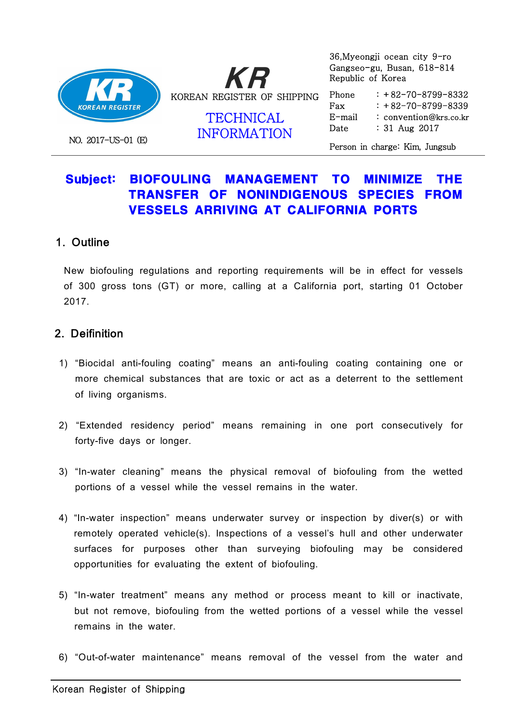

NO. 2017-US-01 (E)

KRKOREAN REGISTER OF SHIPPING

> TECHNICAL E-ma INFORMATION

 36,Myeongji ocean city 9-ro Gangseo-gu, Busan, 618-814 Republic of Korea

 Phone Fax  $E$ -mail  $: +82-70-8799-8332$  $: +82-70-8799-8339$ : convention@krs.co.kr : 31 Aug 2017

Person in charge: Kim, Jungsub

# Subject: BIOFOULING MANAGEMENT TO MINIMIZE THE TRANSFER OF NONINDIGENOUS SPECIES FROM VESSELS ARRIVING AT CALIFORNIA PORTS

### 1. Outline

 New biofouling regulations and reporting requirements will be in effect for vessels of 300 gross tons (GT) or more, calling at a California port, starting 01 October 2017.

## 2. Deifinition

- 1) "Biocidal anti-fouling coating" means an anti-fouling coating containing one or more chemical substances that are toxic or act as a deterrent to the settlement of living organisms.
- 2) "Extended residency period" means remaining in one port consecutively for forty-five days or longer.
- 3) "In-water cleaning" means the physical removal of biofouling from the wetted portions of a vessel while the vessel remains in the water.
- 4) "In-water inspection" means underwater survey or inspection by diver(s) or with remotely operated vehicle(s). Inspections of a vessel's hull and other underwater surfaces for purposes other than surveying biofouling may be considered opportunities for evaluating the extent of biofouling.
- 5) "In-water treatment" means any method or process meant to kill or inactivate, but not remove, biofouling from the wetted portions of a vessel while the vessel remains in the water.
- 6) "Out-of-water maintenance" means removal of the vessel from the water and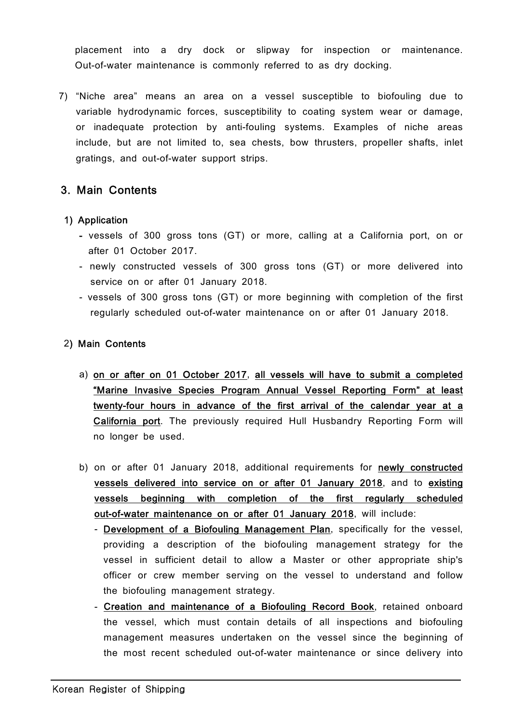placement into a dry dock or slipway for inspection or maintenance. Out-of-water maintenance is commonly referred to as dry docking.

 7) "Niche area" means an area on a vessel susceptible to biofouling due to variable hydrodynamic forces, susceptibility to coating system wear or damage, or inadequate protection by anti-fouling systems. Examples of niche areas include, but are not limited to, sea chests, bow thrusters, propeller shafts, inlet gratings, and out-of-water support strips.

### 3. Main Contents

#### 1) Application

- vessels of 300 gross tons (GT) or more, calling at a California port, on or after 01 October 2017.
- newly constructed vessels of 300 gross tons (GT) or more delivered into service on or after 01 January 2018.
- vessels of 300 gross tons (GT) or more beginning with completion of the first regularly scheduled out-of-water maintenance on or after 01 January 2018.

### 2) Main Contents

- a) on or after on 01 October 2017, all vessels will have to submit a completed "Marine Invasive Species Program Annual Vessel Reporting Form" at least twenty-four hours in advance of the first arrival of the calendar year at a California port. The previously required Hull Husbandry Reporting Form will no longer be used.
- b) on or after 01 January 2018, additional requirements for newly constructed vessels delivered into service on or after 01 January 2018, and to existing vessels beginning with completion of the first regularly scheduled out-of-water maintenance on or after 01 January 2018, will include:
	- Development of a Biofouling Management Plan, specifically for the vessel, providing a description of the biofouling management strategy for the vessel in sufficient detail to allow a Master or other appropriate ship's officer or crew member serving on the vessel to understand and follow the biofouling management strategy.
	- Creation and maintenance of a Biofouling Record Book, retained onboard the vessel, which must contain details of all inspections and biofouling management measures undertaken on the vessel since the beginning of the most recent scheduled out-of-water maintenance or since delivery into